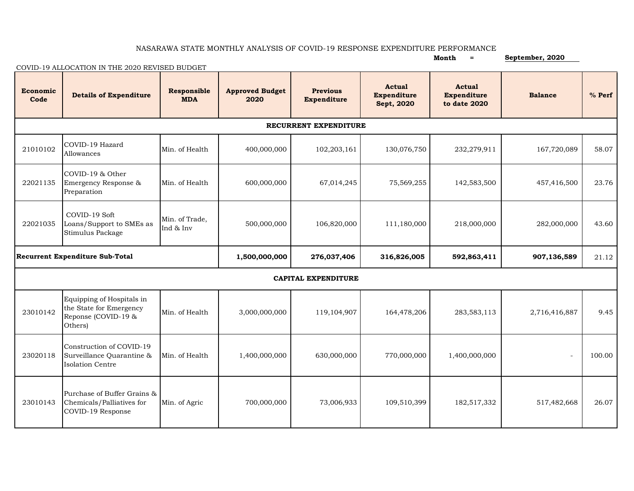## NASARAWA STATE MONTHLY ANALYSIS OF COVID-19 RESPONSE EXPENDITURE PERFORMANCE

| COVID-19 ALLOCATION IN THE 2020 REVISED BUDGET |                                                                                        |                             |                                |                                       |                                            |                                              | September, 2020          |          |  |  |  |  |
|------------------------------------------------|----------------------------------------------------------------------------------------|-----------------------------|--------------------------------|---------------------------------------|--------------------------------------------|----------------------------------------------|--------------------------|----------|--|--|--|--|
| Economic<br>Code                               | <b>Details of Expenditure</b>                                                          | Responsible<br><b>MDA</b>   | <b>Approved Budget</b><br>2020 | <b>Previous</b><br><b>Expenditure</b> | <b>Actual</b><br>Expenditure<br>Sept, 2020 | Actual<br><b>Expenditure</b><br>to date 2020 | <b>Balance</b>           | $%$ Perf |  |  |  |  |
| RECURRENT EXPENDITURE                          |                                                                                        |                             |                                |                                       |                                            |                                              |                          |          |  |  |  |  |
| 21010102                                       | COVID-19 Hazard<br>Allowances                                                          | Min. of Health              | 400,000,000                    | 102,203,161                           | 130,076,750                                | 232,279,911                                  | 167,720,089              | 58.07    |  |  |  |  |
| 22021135                                       | COVID-19 & Other<br>Emergency Response &<br>Preparation                                | Min. of Health              | 600,000,000                    | 67,014,245                            | 75,569,255                                 | 142,583,500                                  | 457,416,500              | 23.76    |  |  |  |  |
| 22021035                                       | COVID-19 Soft<br>Loans/Support to SMEs as<br>Stimulus Package                          | Min. of Trade,<br>Ind & Inv | 500,000,000                    | 106,820,000                           | 111,180,000                                | 218,000,000                                  | 282,000,000              | 43.60    |  |  |  |  |
| <b>Recurrent Expenditure Sub-Total</b>         |                                                                                        |                             | 1,500,000,000                  | 276,037,406                           | 316,826,005                                | 592,863,411                                  | 907,136,589              | 21.12    |  |  |  |  |
| <b>CAPITAL EXPENDITURE</b>                     |                                                                                        |                             |                                |                                       |                                            |                                              |                          |          |  |  |  |  |
| 23010142                                       | Equipping of Hospitals in<br>the State for Emergency<br>Reponse (COVID-19 &<br>Others) | Min. of Health              | 3,000,000,000                  | 119,104,907                           | 164,478,206                                | 283,583,113                                  | 2,716,416,887            | 9.45     |  |  |  |  |
| 23020118                                       | Construction of COVID-19<br>Surveillance Quarantine &<br><b>Isolation Centre</b>       | Min. of Health              | 1,400,000,000                  | 630,000,000                           | 770,000,000                                | 1,400,000,000                                | $\overline{\phantom{a}}$ | 100.00   |  |  |  |  |
| 23010143                                       | Purchase of Buffer Grains &<br>Chemicals/Palliatives for<br>COVID-19 Response          | Min. of Agric               | 700,000,000                    | 73,006,933                            | 109,510,399                                | 182,517,332                                  | 517,482,668              | 26.07    |  |  |  |  |